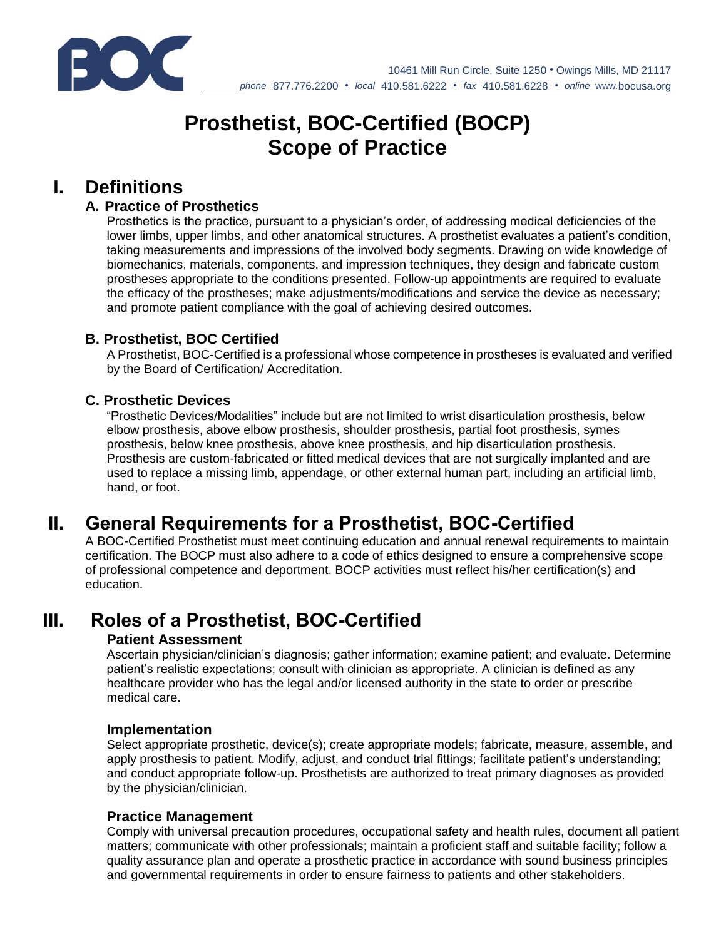

# **Prosthetist, BOC-Certified (BOCP) Scope of Practice**

## **I. Definitions**

## **A. Practice of Prosthetics**

Prosthetics is the practice, pursuant to a physician's order, of addressing medical deficiencies of the lower limbs, upper limbs, and other anatomical structures. A prosthetist evaluates a patient's condition, taking measurements and impressions of the involved body segments. Drawing on wide knowledge of biomechanics, materials, components, and impression techniques, they design and fabricate custom prostheses appropriate to the conditions presented. Follow-up appointments are required to evaluate the efficacy of the prostheses; make adjustments/modifications and service the device as necessary; and promote patient compliance with the goal of achieving desired outcomes.

### **B. Prosthetist, BOC Certified**

A Prosthetist, BOC-Certified is a professional whose competence in prostheses is evaluated and verified by the Board of Certification/ Accreditation.

## **C. Prosthetic Devices**

"Prosthetic Devices/Modalities" include but are not limited to wrist disarticulation prosthesis, below elbow prosthesis, above elbow prosthesis, shoulder prosthesis, partial foot prosthesis, symes prosthesis, below knee prosthesis, above knee prosthesis, and hip disarticulation prosthesis. Prosthesis are custom-fabricated or fitted medical devices that are not surgically implanted and are used to replace a missing limb, appendage, or other external human part, including an artificial limb, hand, or foot.

## **II. General Requirements for a Prosthetist, BOC-Certified**

A BOC-Certified Prosthetist must meet continuing education and annual renewal requirements to maintain certification. The BOCP must also adhere to a code of ethics designed to ensure a comprehensive scope of professional competence and deportment. BOCP activities must reflect his/her certification(s) and education.

# **III. Roles of a Prosthetist, BOC-Certified**

#### **Patient Assessment**

Ascertain physician/clinician's diagnosis; gather information; examine patient; and evaluate. Determine patient's realistic expectations; consult with clinician as appropriate. A clinician is defined as any healthcare provider who has the legal and/or licensed authority in the state to order or prescribe medical care.

#### **Implementation**

Select appropriate prosthetic, device(s); create appropriate models; fabricate, measure, assemble, and apply prosthesis to patient. Modify, adjust, and conduct trial fittings; facilitate patient's understanding; and conduct appropriate follow-up. Prosthetists are authorized to treat primary diagnoses as provided by the physician/clinician.

### **Practice Management**

Comply with universal precaution procedures, occupational safety and health rules, document all patient matters; communicate with other professionals; maintain a proficient staff and suitable facility; follow a quality assurance plan and operate a prosthetic practice in accordance with sound business principles and governmental requirements in order to ensure fairness to patients and other stakeholders.